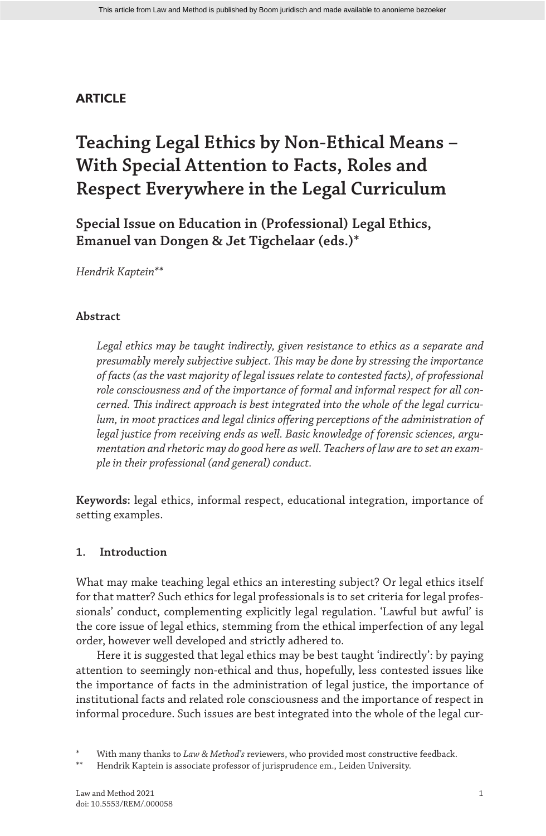## **ARTICLE**

# **Teaching Legal Ethics by Non-Ethical Means – With Special Attention to Facts, Roles and Respect Everywhere in the Legal Curriculum**

**Special Issue on Education in (Professional) Legal Ethics, Emanuel van Dongen & Jet Tigchelaar (eds.)\***

*Hendrik Kaptein\*\**

## **Abstract**

*Legal ethics may be taught indirectly, given resistance to ethics as a separate and presumably merely subjective subject. This may be done by stressing the importance of facts (as the vast majority of legal issues relate to contested facts), of professional role consciousness and of the importance of formal and informal respect for all concerned. This indirect approach is best integrated into the whole of the legal curriculum, in moot practices and legal clinics offering perceptions of the administration of legal justice from receiving ends as well. Basic knowledge of forensic sciences, argumentation and rhetoric may do good here as well. Teachers of law are to set an example in their professional (and general) conduct.*

**Keywords:** legal ethics, informal respect, educational integration, importance of setting examples.

## **1. Introduction**

What may make teaching legal ethics an interesting subject? Or legal ethics itself for that matter? Such ethics for legal professionals is to set criteria for legal professionals' conduct, complementing explicitly legal regulation. 'Lawful but awful' is the core issue of legal ethics, stemming from the ethical imperfection of any legal order, however well developed and strictly adhered to.

Here it is suggested that legal ethics may be best taught 'indirectly': by paying attention to seemingly non-ethical and thus, hopefully, less contested issues like the importance of facts in the administration of legal justice, the importance of institutional facts and related role consciousness and the importance of respect in informal procedure. Such issues are best integrated into the whole of the legal cur-

With many thanks to *Law & Method's* reviewers, who provided most constructive feedback.

Hendrik Kaptein is associate professor of jurisprudence em., Leiden University.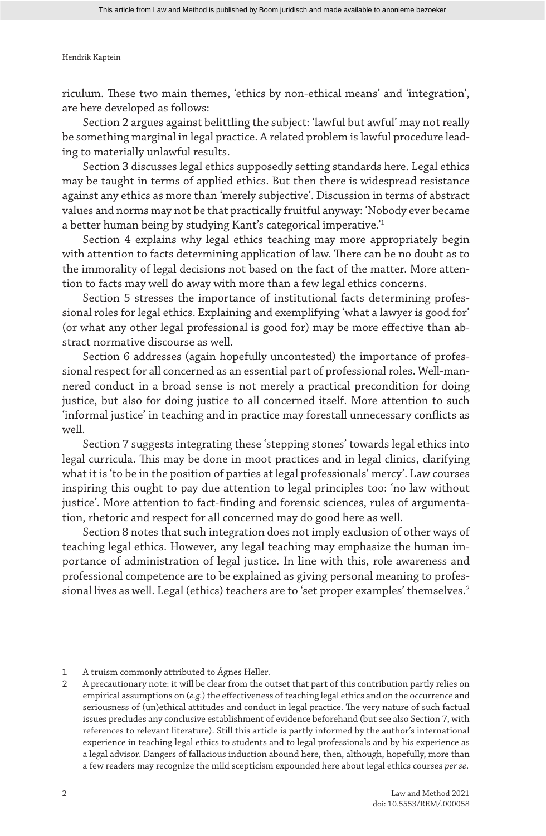riculum. These two main themes, 'ethics by non-ethical means' and 'integration', are here developed as follows:

Section 2 argues against belittling the subject: 'lawful but awful' may not really be something marginal in legal practice. A related problem is lawful procedure leading to materially unlawful results.

Section 3 discusses legal ethics supposedly setting standards here. Legal ethics may be taught in terms of applied ethics. But then there is widespread resistance against any ethics as more than 'merely subjective'. Discussion in terms of abstract values and norms may not be that practically fruitful anyway: 'Nobody ever became a better human being by studying Kant's categorical imperative.'1

Section 4 explains why legal ethics teaching may more appropriately begin with attention to facts determining application of law. There can be no doubt as to the immorality of legal decisions not based on the fact of the matter. More attention to facts may well do away with more than a few legal ethics concerns.

Section 5 stresses the importance of institutional facts determining professional roles for legal ethics. Explaining and exemplifying 'what a lawyer is good for' (or what any other legal professional is good for) may be more effective than abstract normative discourse as well.

Section 6 addresses (again hopefully uncontested) the importance of professional respect for all concerned as an essential part of professional roles. Well-mannered conduct in a broad sense is not merely a practical precondition for doing justice, but also for doing justice to all concerned itself. More attention to such 'informal justice' in teaching and in practice may forestall unnecessary conflicts as well.

Section 7 suggests integrating these 'stepping stones' towards legal ethics into legal curricula. This may be done in moot practices and in legal clinics, clarifying what it is 'to be in the position of parties at legal professionals' mercy'. Law courses inspiring this ought to pay due attention to legal principles too: 'no law without justice'. More attention to fact-finding and forensic sciences, rules of argumentation, rhetoric and respect for all concerned may do good here as well.

Section 8 notes that such integration does not imply exclusion of other ways of teaching legal ethics. However, any legal teaching may emphasize the human importance of administration of legal justice. In line with this, role awareness and professional competence are to be explained as giving personal meaning to professional lives as well. Legal (ethics) teachers are to 'set proper examples' themselves.<sup>2</sup>

1 A truism commonly attributed to Ágnes Heller.

2 A precautionary note: it will be clear from the outset that part of this contribution partly relies on empirical assumptions on (*e.g.*) the effectiveness of teaching legal ethics and on the occurrence and seriousness of (un)ethical attitudes and conduct in legal practice. The very nature of such factual issues precludes any conclusive establishment of evidence beforehand (but see also Section 7, with references to relevant literature). Still this article is partly informed by the author's international experience in teaching legal ethics to students and to legal professionals and by his experience as a legal advisor. Dangers of fallacious induction abound here, then, although, hopefully, more than a few readers may recognize the mild scepticism expounded here about legal ethics courses *per se*.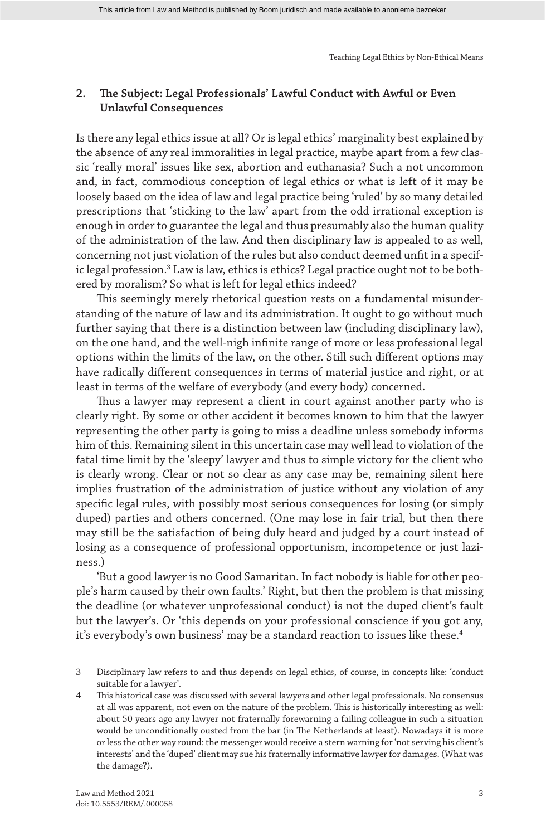## **2. The Subject: Legal Professionals' Lawful Conduct with Awful or Even Unlawful Consequences**

Is there any legal ethics issue at all? Or is legal ethics' marginality best explained by the absence of any real immoralities in legal practice, maybe apart from a few classic 'really moral' issues like sex, abortion and euthanasia? Such a not uncommon and, in fact, commodious conception of legal ethics or what is left of it may be loosely based on the idea of law and legal practice being 'ruled' by so many detailed prescriptions that 'sticking to the law' apart from the odd irrational exception is enough in order to guarantee the legal and thus presumably also the human quality of the administration of the law. And then disciplinary law is appealed to as well, concerning not just violation of the rules but also conduct deemed unfit in a specific legal profession.<sup>3</sup> Law is law, ethics is ethics? Legal practice ought not to be bothered by moralism? So what is left for legal ethics indeed?

This seemingly merely rhetorical question rests on a fundamental misunderstanding of the nature of law and its administration. It ought to go without much further saying that there is a distinction between law (including disciplinary law), on the one hand, and the well-nigh infinite range of more or less professional legal options within the limits of the law, on the other. Still such different options may have radically different consequences in terms of material justice and right, or at least in terms of the welfare of everybody (and every body) concerned.

Thus a lawyer may represent a client in court against another party who is clearly right. By some or other accident it becomes known to him that the lawyer representing the other party is going to miss a deadline unless somebody informs him of this. Remaining silent in this uncertain case may well lead to violation of the fatal time limit by the 'sleepy' lawyer and thus to simple victory for the client who is clearly wrong. Clear or not so clear as any case may be, remaining silent here implies frustration of the administration of justice without any violation of any specific legal rules, with possibly most serious consequences for losing (or simply duped) parties and others concerned. (One may lose in fair trial, but then there may still be the satisfaction of being duly heard and judged by a court instead of losing as a consequence of professional opportunism, incompetence or just laziness.)

'But a good lawyer is no Good Samaritan. In fact nobody is liable for other people's harm caused by their own faults.' Right, but then the problem is that missing the deadline (or whatever unprofessional conduct) is not the duped client's fault but the lawyer's. Or 'this depends on your professional conscience if you got any, it's everybody's own business' may be a standard reaction to issues like these.<sup>4</sup>

<sup>3</sup> Disciplinary law refers to and thus depends on legal ethics, of course, in concepts like: 'conduct suitable for a lawyer'.

<sup>4</sup> This historical case was discussed with several lawyers and other legal professionals. No consensus at all was apparent, not even on the nature of the problem. This is historically interesting as well: about 50 years ago any lawyer not fraternally forewarning a failing colleague in such a situation would be unconditionally ousted from the bar (in The Netherlands at least). Nowadays it is more or less the other way round: the messenger would receive a stern warning for 'not serving his client's interests' and the 'duped' client may sue his fraternally informative lawyer for damages. (What was the damage?).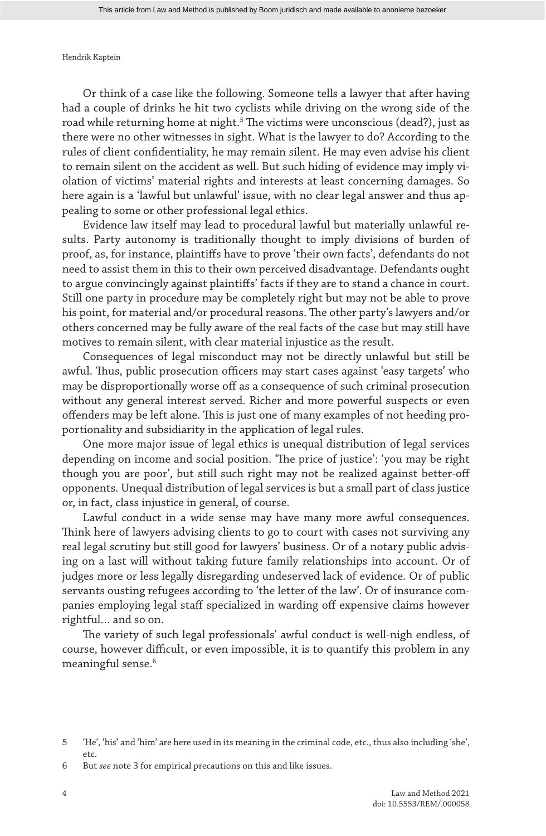Or think of a case like the following. Someone tells a lawyer that after having had a couple of drinks he hit two cyclists while driving on the wrong side of the road while returning home at night.<sup>5</sup> The victims were unconscious (dead?), just as there were no other witnesses in sight. What is the lawyer to do? According to the rules of client confidentiality, he may remain silent. He may even advise his client to remain silent on the accident as well. But such hiding of evidence may imply violation of victims' material rights and interests at least concerning damages. So here again is a 'lawful but unlawful' issue, with no clear legal answer and thus appealing to some or other professional legal ethics.

Evidence law itself may lead to procedural lawful but materially unlawful results. Party autonomy is traditionally thought to imply divisions of burden of proof, as, for instance, plaintiffs have to prove 'their own facts', defendants do not need to assist them in this to their own perceived disadvantage. Defendants ought to argue convincingly against plaintiffs' facts if they are to stand a chance in court. Still one party in procedure may be completely right but may not be able to prove his point, for material and/or procedural reasons. The other party's lawyers and/or others concerned may be fully aware of the real facts of the case but may still have motives to remain silent, with clear material injustice as the result.

Consequences of legal misconduct may not be directly unlawful but still be awful. Thus, public prosecution officers may start cases against 'easy targets' who may be disproportionally worse off as a consequence of such criminal prosecution without any general interest served. Richer and more powerful suspects or even offenders may be left alone. This is just one of many examples of not heeding proportionality and subsidiarity in the application of legal rules.

One more major issue of legal ethics is unequal distribution of legal services depending on income and social position. 'The price of justice': 'you may be right though you are poor', but still such right may not be realized against better-off opponents. Unequal distribution of legal services is but a small part of class justice or, in fact, class injustice in general, of course.

Lawful conduct in a wide sense may have many more awful consequences. Think here of lawyers advising clients to go to court with cases not surviving any real legal scrutiny but still good for lawyers' business. Or of a notary public advising on a last will without taking future family relationships into account. Or of judges more or less legally disregarding undeserved lack of evidence. Or of public servants ousting refugees according to 'the letter of the law'. Or of insurance companies employing legal staff specialized in warding off expensive claims however rightful… and so on.

The variety of such legal professionals' awful conduct is well-nigh endless, of course, however difficult, or even impossible, it is to quantify this problem in any meaningful sense.<sup>6</sup>

<sup>5</sup> 'He', 'his' and 'him' are here used in its meaning in the criminal code, etc., thus also including 'she', etc.

<sup>6</sup> But *see* note 3 for empirical precautions on this and like issues.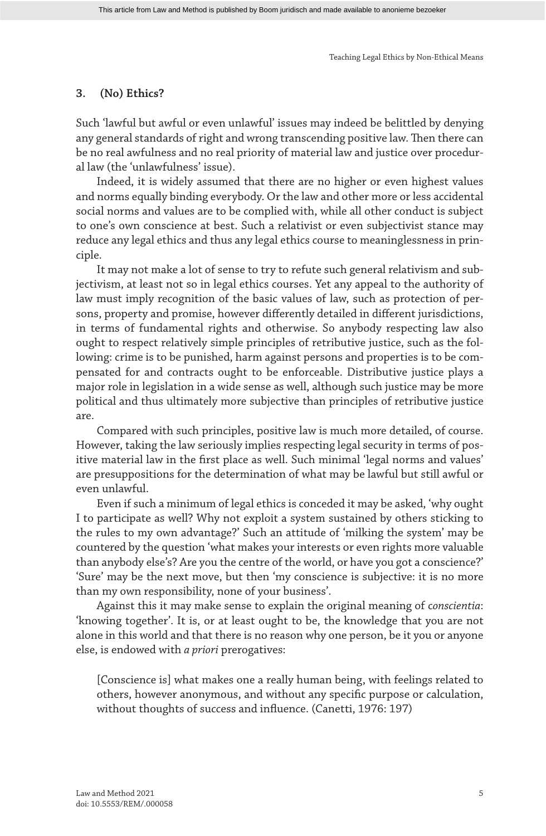### **3. (No) Ethics?**

Such 'lawful but awful or even unlawful' issues may indeed be belittled by denying any general standards of right and wrong transcending positive law. Then there can be no real awfulness and no real priority of material law and justice over procedural law (the 'unlawfulness' issue).

Indeed, it is widely assumed that there are no higher or even highest values and norms equally binding everybody. Or the law and other more or less accidental social norms and values are to be complied with, while all other conduct is subject to one's own conscience at best. Such a relativist or even subjectivist stance may reduce any legal ethics and thus any legal ethics course to meaninglessness in principle.

It may not make a lot of sense to try to refute such general relativism and subjectivism, at least not so in legal ethics courses. Yet any appeal to the authority of law must imply recognition of the basic values of law, such as protection of persons, property and promise, however differently detailed in different jurisdictions, in terms of fundamental rights and otherwise. So anybody respecting law also ought to respect relatively simple principles of retributive justice, such as the following: crime is to be punished, harm against persons and properties is to be compensated for and contracts ought to be enforceable. Distributive justice plays a major role in legislation in a wide sense as well, although such justice may be more political and thus ultimately more subjective than principles of retributive justice are.

Compared with such principles, positive law is much more detailed, of course. However, taking the law seriously implies respecting legal security in terms of positive material law in the first place as well. Such minimal 'legal norms and values' are presuppositions for the determination of what may be lawful but still awful or even unlawful.

Even if such a minimum of legal ethics is conceded it may be asked, 'why ought I to participate as well? Why not exploit a system sustained by others sticking to the rules to my own advantage?' Such an attitude of 'milking the system' may be countered by the question 'what makes your interests or even rights more valuable than anybody else's? Are you the centre of the world, or have you got a conscience?' 'Sure' may be the next move, but then 'my conscience is subjective: it is no more than my own responsibility, none of your business'.

Against this it may make sense to explain the original meaning of c*onscientia*: 'knowing together'. It is, or at least ought to be, the knowledge that you are not alone in this world and that there is no reason why one person, be it you or anyone else, is endowed with *a priori* prerogatives:

[Conscience is] what makes one a really human being, with feelings related to others, however anonymous, and without any specific purpose or calculation, without thoughts of success and influence. (Canetti, 1976: 197)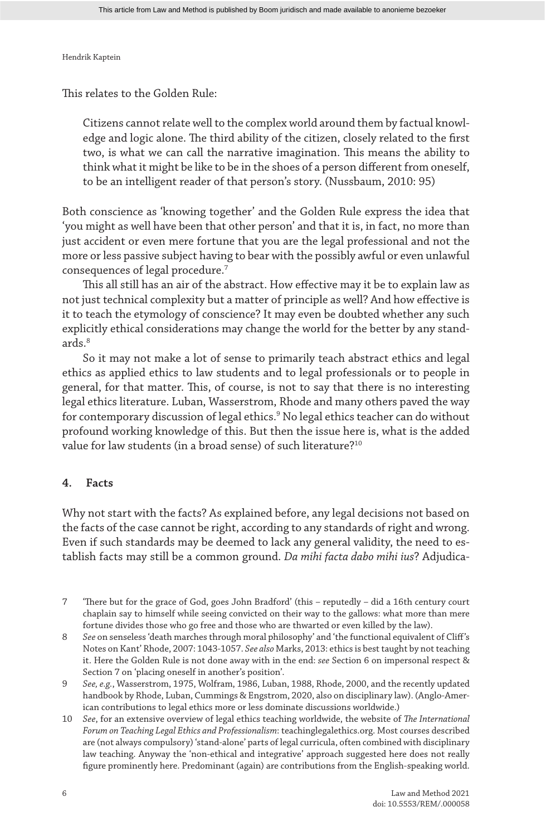This relates to the Golden Rule:

Citizens cannot relate well to the complex world around them by factual knowledge and logic alone. The third ability of the citizen, closely related to the first two, is what we can call the narrative imagination. This means the ability to think what it might be like to be in the shoes of a person different from oneself, to be an intelligent reader of that person's story. (Nussbaum, 2010: 95)

Both conscience as 'knowing together' and the Golden Rule express the idea that 'you might as well have been that other person' and that it is, in fact, no more than just accident or even mere fortune that you are the legal professional and not the more or less passive subject having to bear with the possibly awful or even unlawful consequences of legal procedure.7

This all still has an air of the abstract. How effective may it be to explain law as not just technical complexity but a matter of principle as well? And how effective is it to teach the etymology of conscience? It may even be doubted whether any such explicitly ethical considerations may change the world for the better by any standards.8

So it may not make a lot of sense to primarily teach abstract ethics and legal ethics as applied ethics to law students and to legal professionals or to people in general, for that matter. This, of course, is not to say that there is no interesting legal ethics literature. Luban, Wasserstrom, Rhode and many others paved the way for contemporary discussion of legal ethics.9 No legal ethics teacher can do without profound working knowledge of this. But then the issue here is, what is the added value for law students (in a broad sense) of such literature?<sup>10</sup>

### **4. Facts**

Why not start with the facts? As explained before, any legal decisions not based on the facts of the case cannot be right, according to any standards of right and wrong. Even if such standards may be deemed to lack any general validity, the need to establish facts may still be a common ground. *Da mihi facta dabo mihi ius*? Adjudica-

- 7 'There but for the grace of God, goes John Bradford' (this reputedly did a 16th century court chaplain say to himself while seeing convicted on their way to the gallows: what more than mere fortune divides those who go free and those who are thwarted or even killed by the law).
- 8 *See* on senseless 'death marches through moral philosophy' and 'the functional equivalent of Cliff's Notes on Kant' Rhode, 2007: 1043-1057. *See also* Marks, 2013: ethics is best taught by not teaching it. Here the Golden Rule is not done away with in the end: *see* Section 6 on impersonal respect & Section 7 on 'placing oneself in another's position'.
- 9 *See, e.g.*, Wasserstrom, 1975, Wolfram, 1986, Luban, 1988, Rhode, 2000, and the recently updated handbook by Rhode, Luban, Cummings & Engstrom, 2020, also on disciplinary law). (Anglo-American contributions to legal ethics more or less dominate discussions worldwide.)
- 10 *See*, for an extensive overview of legal ethics teaching worldwide, the website of *The International Forum on Teaching Legal Ethics and Professionalism*: teachinglegalethics.org. Most courses described are (not always compulsory) 'stand-alone' parts of legal curricula, often combined with disciplinary law teaching. Anyway the 'non-ethical and integrative' approach suggested here does not really figure prominently here. Predominant (again) are contributions from the English-speaking world.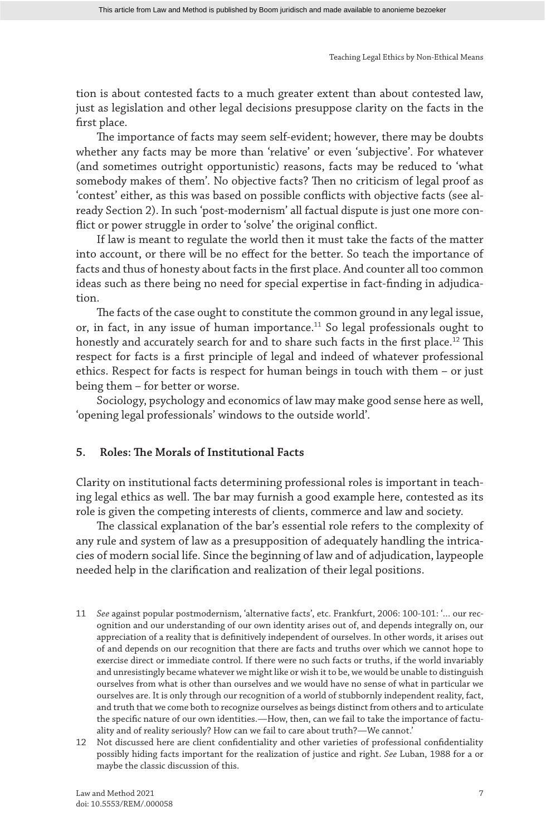tion is about contested facts to a much greater extent than about contested law, just as legislation and other legal decisions presuppose clarity on the facts in the first place.

The importance of facts may seem self-evident; however, there may be doubts whether any facts may be more than 'relative' or even 'subjective'. For whatever (and sometimes outright opportunistic) reasons, facts may be reduced to 'what somebody makes of them'. No objective facts? Then no criticism of legal proof as 'contest' either, as this was based on possible conflicts with objective facts (see already Section 2). In such 'post-modernism' all factual dispute is just one more conflict or power struggle in order to 'solve' the original conflict.

If law is meant to regulate the world then it must take the facts of the matter into account, or there will be no effect for the better. So teach the importance of facts and thus of honesty about facts in the first place. And counter all too common ideas such as there being no need for special expertise in fact-finding in adjudication.

The facts of the case ought to constitute the common ground in any legal issue, or, in fact, in any issue of human importance.<sup>11</sup> So legal professionals ought to honestly and accurately search for and to share such facts in the first place.<sup>12</sup> This respect for facts is a first principle of legal and indeed of whatever professional ethics. Respect for facts is respect for human beings in touch with them – or just being them – for better or worse.

Sociology, psychology and economics of law may make good sense here as well, 'opening legal professionals' windows to the outside world'.

#### **5. Roles: The Morals of Institutional Facts**

Clarity on institutional facts determining professional roles is important in teaching legal ethics as well. The bar may furnish a good example here, contested as its role is given the competing interests of clients, commerce and law and society.

The classical explanation of the bar's essential role refers to the complexity of any rule and system of law as a presupposition of adequately handling the intricacies of modern social life. Since the beginning of law and of adjudication, laypeople needed help in the clarification and realization of their legal positions.

- 11 *See* against popular postmodernism, 'alternative facts', etc. Frankfurt, 2006: 100-101: '… our recognition and our understanding of our own identity arises out of, and depends integrally on, our appreciation of a reality that is definitively independent of ourselves. In other words, it arises out of and depends on our recognition that there are facts and truths over which we cannot hope to exercise direct or immediate control. If there were no such facts or truths, if the world invariably and unresistingly became whatever we might like or wish it to be, we would be unable to distinguish ourselves from what is other than ourselves and we would have no sense of what in particular we ourselves are. It is only through our recognition of a world of stubbornly independent reality, fact, and truth that we come both to recognize ourselves as beings distinct from others and to articulate the specific nature of our own identities.—How, then, can we fail to take the importance of factuality and of reality seriously? How can we fail to care about truth?—We cannot.'
- 12 Not discussed here are client confidentiality and other varieties of professional confidentiality possibly hiding facts important for the realization of justice and right. *See* Luban, 1988 for a or maybe the classic discussion of this.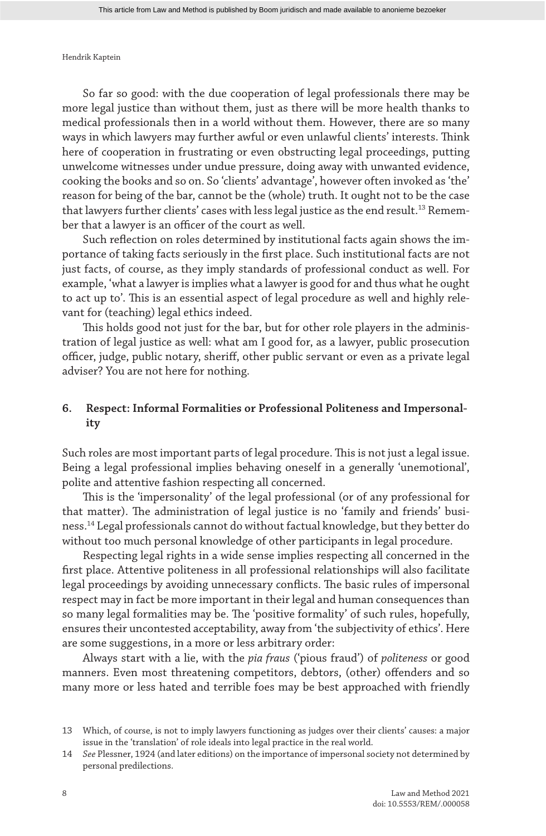So far so good: with the due cooperation of legal professionals there may be more legal justice than without them, just as there will be more health thanks to medical professionals then in a world without them. However, there are so many ways in which lawyers may further awful or even unlawful clients' interests. Think here of cooperation in frustrating or even obstructing legal proceedings, putting unwelcome witnesses under undue pressure, doing away with unwanted evidence, cooking the books and so on. So 'clients' advantage', however often invoked as 'the' reason for being of the bar, cannot be the (whole) truth. It ought not to be the case that lawyers further clients' cases with less legal justice as the end result.<sup>13</sup> Remember that a lawyer is an officer of the court as well.

Such reflection on roles determined by institutional facts again shows the importance of taking facts seriously in the first place. Such institutional facts are not just facts, of course, as they imply standards of professional conduct as well. For example, 'what a lawyer is implies what a lawyer is good for and thus what he ought to act up to'. This is an essential aspect of legal procedure as well and highly relevant for (teaching) legal ethics indeed.

This holds good not just for the bar, but for other role players in the administration of legal justice as well: what am I good for, as a lawyer, public prosecution officer, judge, public notary, sheriff, other public servant or even as a private legal adviser? You are not here for nothing.

## **6. Respect: Informal Formalities or Professional Politeness and Impersonality**

Such roles are most important parts of legal procedure. This is not just a legal issue. Being a legal professional implies behaving oneself in a generally 'unemotional', polite and attentive fashion respecting all concerned.

This is the 'impersonality' of the legal professional (or of any professional for that matter). The administration of legal justice is no 'family and friends' business.14 Legal professionals cannot do without factual knowledge, but they better do without too much personal knowledge of other participants in legal procedure.

Respecting legal rights in a wide sense implies respecting all concerned in the first place. Attentive politeness in all professional relationships will also facilitate legal proceedings by avoiding unnecessary conflicts. The basic rules of impersonal respect may in fact be more important in their legal and human consequences than so many legal formalities may be. The 'positive formality' of such rules, hopefully, ensures their uncontested acceptability, away from 'the subjectivity of ethics'. Here are some suggestions, in a more or less arbitrary order:

Always start with a lie, with the *pia fraus* ('pious fraud') of *politeness* or good manners. Even most threatening competitors, debtors, (other) offenders and so many more or less hated and terrible foes may be best approached with friendly

<sup>13</sup> Which, of course, is not to imply lawyers functioning as judges over their clients' causes: a major issue in the 'translation' of role ideals into legal practice in the real world.

<sup>14</sup> *See* Plessner, 1924 (and later editions) on the importance of impersonal society not determined by personal predilections.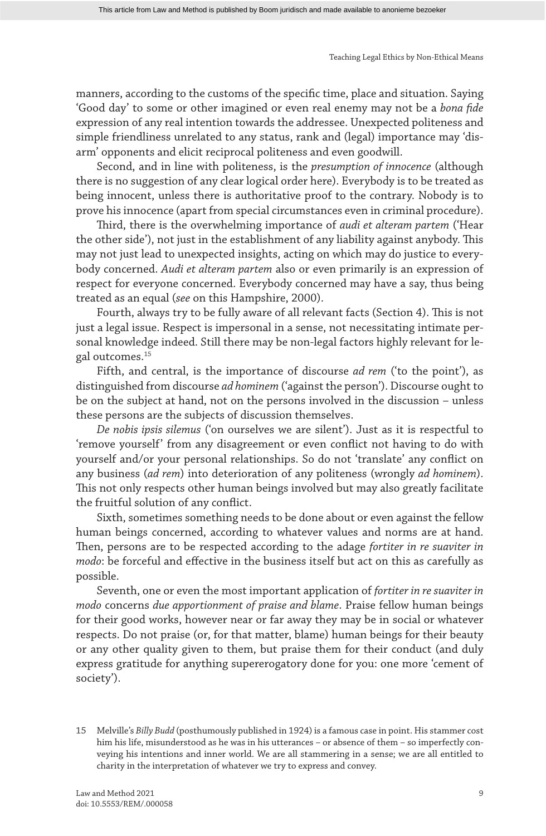manners, according to the customs of the specific time, place and situation. Saying 'Good day' to some or other imagined or even real enemy may not be a *bona fide* expression of any real intention towards the addressee. Unexpected politeness and simple friendliness unrelated to any status, rank and (legal) importance may 'disarm' opponents and elicit reciprocal politeness and even goodwill.

Second, and in line with politeness, is the *presumption of innocence* (although there is no suggestion of any clear logical order here). Everybody is to be treated as being innocent, unless there is authoritative proof to the contrary. Nobody is to prove his innocence (apart from special circumstances even in criminal procedure).

Third, there is the overwhelming importance of *audi et alteram partem* ('Hear the other side'), not just in the establishment of any liability against anybody. This may not just lead to unexpected insights, acting on which may do justice to everybody concerned. *Audi et alteram partem* also or even primarily is an expression of respect for everyone concerned. Everybody concerned may have a say, thus being treated as an equal (*see* on this Hampshire, 2000).

Fourth, always try to be fully aware of all relevant facts (Section 4). This is not just a legal issue. Respect is impersonal in a sense, not necessitating intimate personal knowledge indeed. Still there may be non-legal factors highly relevant for legal outcomes.15

Fifth, and central, is the importance of discourse *ad rem* ('to the point'), as distinguished from discourse *ad hominem* ('against the person'). Discourse ought to be on the subject at hand, not on the persons involved in the discussion – unless these persons are the subjects of discussion themselves.

*De nobis ipsis silemus* ('on ourselves we are silent'). Just as it is respectful to 'remove yourself' from any disagreement or even conflict not having to do with yourself and/or your personal relationships. So do not 'translate' any conflict on any business (*ad rem*) into deterioration of any politeness (wrongly *ad hominem*). This not only respects other human beings involved but may also greatly facilitate the fruitful solution of any conflict.

Sixth, sometimes something needs to be done about or even against the fellow human beings concerned, according to whatever values and norms are at hand. Then, persons are to be respected according to the adage *fortiter in re suaviter in modo*: be forceful and effective in the business itself but act on this as carefully as possible.

Seventh, one or even the most important application of *fortiter in re suaviter in modo* concerns *due apportionment of praise and blame*. Praise fellow human beings for their good works, however near or far away they may be in social or whatever respects. Do not praise (or, for that matter, blame) human beings for their beauty or any other quality given to them, but praise them for their conduct (and duly express gratitude for anything supererogatory done for you: one more 'cement of society').

<sup>15</sup> Melville's *Billy Budd* (posthumously published in 1924) is a famous case in point. His stammer cost him his life, misunderstood as he was in his utterances – or absence of them – so imperfectly conveying his intentions and inner world. We are all stammering in a sense; we are all entitled to charity in the interpretation of whatever we try to express and convey.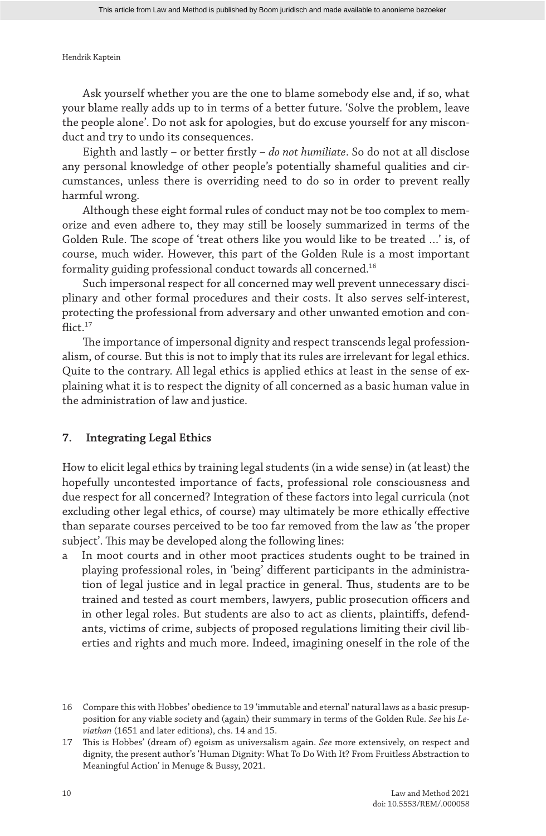Ask yourself whether you are the one to blame somebody else and, if so, what your blame really adds up to in terms of a better future. 'Solve the problem, leave the people alone'. Do not ask for apologies, but do excuse yourself for any misconduct and try to undo its consequences.

Eighth and lastly – or better firstly – *do not humiliate*. So do not at all disclose any personal knowledge of other people's potentially shameful qualities and circumstances, unless there is overriding need to do so in order to prevent really harmful wrong.

Although these eight formal rules of conduct may not be too complex to memorize and even adhere to, they may still be loosely summarized in terms of the Golden Rule. The scope of 'treat others like you would like to be treated …' is, of course, much wider. However, this part of the Golden Rule is a most important formality guiding professional conduct towards all concerned.16

Such impersonal respect for all concerned may well prevent unnecessary disciplinary and other formal procedures and their costs. It also serves self-interest, protecting the professional from adversary and other unwanted emotion and conflict. $17$ 

The importance of impersonal dignity and respect transcends legal professionalism, of course. But this is not to imply that its rules are irrelevant for legal ethics. Quite to the contrary. All legal ethics is applied ethics at least in the sense of explaining what it is to respect the dignity of all concerned as a basic human value in the administration of law and justice.

### **7. Integrating Legal Ethics**

How to elicit legal ethics by training legal students (in a wide sense) in (at least) the hopefully uncontested importance of facts, professional role consciousness and due respect for all concerned? Integration of these factors into legal curricula (not excluding other legal ethics, of course) may ultimately be more ethically effective than separate courses perceived to be too far removed from the law as 'the proper subject'. This may be developed along the following lines:

a In moot courts and in other moot practices students ought to be trained in playing professional roles, in 'being' different participants in the administration of legal justice and in legal practice in general. Thus, students are to be trained and tested as court members, lawyers, public prosecution officers and in other legal roles. But students are also to act as clients, plaintiffs, defendants, victims of crime, subjects of proposed regulations limiting their civil liberties and rights and much more. Indeed, imagining oneself in the role of the

<sup>16</sup> Compare this with Hobbes' obedience to 19 'immutable and eternal' natural laws as a basic presupposition for any viable society and (again) their summary in terms of the Golden Rule. *See* his *Leviathan* (1651 and later editions), chs. 14 and 15.

<sup>17</sup> This is Hobbes' (dream of) egoism as universalism again. *See* more extensively, on respect and dignity, the present author's 'Human Dignity: What To Do With It? From Fruitless Abstraction to Meaningful Action' in Menuge & Bussy, 2021.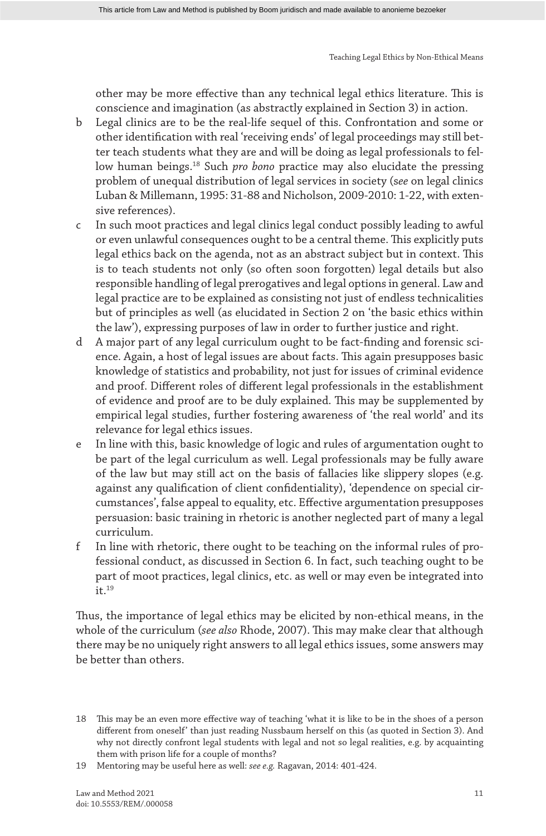other may be more effective than any technical legal ethics literature. This is conscience and imagination (as abstractly explained in Section 3) in action.

- b Legal clinics are to be the real-life sequel of this. Confrontation and some or other identification with real 'receiving ends' of legal proceedings may still better teach students what they are and will be doing as legal professionals to fellow human beings.18 Such *pro bono* practice may also elucidate the pressing problem of unequal distribution of legal services in society (s*ee* on legal clinics Luban & Millemann, 1995: 31-88 and Nicholson, 2009-2010: 1-22, with extensive references).
- c In such moot practices and legal clinics legal conduct possibly leading to awful or even unlawful consequences ought to be a central theme. This explicitly puts legal ethics back on the agenda, not as an abstract subject but in context. This is to teach students not only (so often soon forgotten) legal details but also responsible handling of legal prerogatives and legal options in general. Law and legal practice are to be explained as consisting not just of endless technicalities but of principles as well (as elucidated in Section 2 on 'the basic ethics within the law'), expressing purposes of law in order to further justice and right.
- d A major part of any legal curriculum ought to be fact-finding and forensic science. Again, a host of legal issues are about facts. This again presupposes basic knowledge of statistics and probability, not just for issues of criminal evidence and proof. Different roles of different legal professionals in the establishment of evidence and proof are to be duly explained. This may be supplemented by empirical legal studies, further fostering awareness of 'the real world' and its relevance for legal ethics issues.
- e In line with this, basic knowledge of logic and rules of argumentation ought to be part of the legal curriculum as well. Legal professionals may be fully aware of the law but may still act on the basis of fallacies like slippery slopes (e.g. against any qualification of client confidentiality), 'dependence on special circumstances', false appeal to equality, etc. Effective argumentation presupposes persuasion: basic training in rhetoric is another neglected part of many a legal curriculum.
- f In line with rhetoric, there ought to be teaching on the informal rules of professional conduct, as discussed in Section 6. In fact, such teaching ought to be part of moot practices, legal clinics, etc. as well or may even be integrated into  $it<sup>19</sup>$

Thus, the importance of legal ethics may be elicited by non-ethical means, in the whole of the curriculum (*see also* Rhode, 2007). This may make clear that although there may be no uniquely right answers to all legal ethics issues, some answers may be better than others.

<sup>18</sup> This may be an even more effective way of teaching 'what it is like to be in the shoes of a person different from oneself' than just reading Nussbaum herself on this (as quoted in Section 3). And why not directly confront legal students with legal and not so legal realities, e.g. by acquainting them with prison life for a couple of months?

<sup>19</sup> Mentoring may be useful here as well: *see e.g.* Ragavan, 2014: 401-424.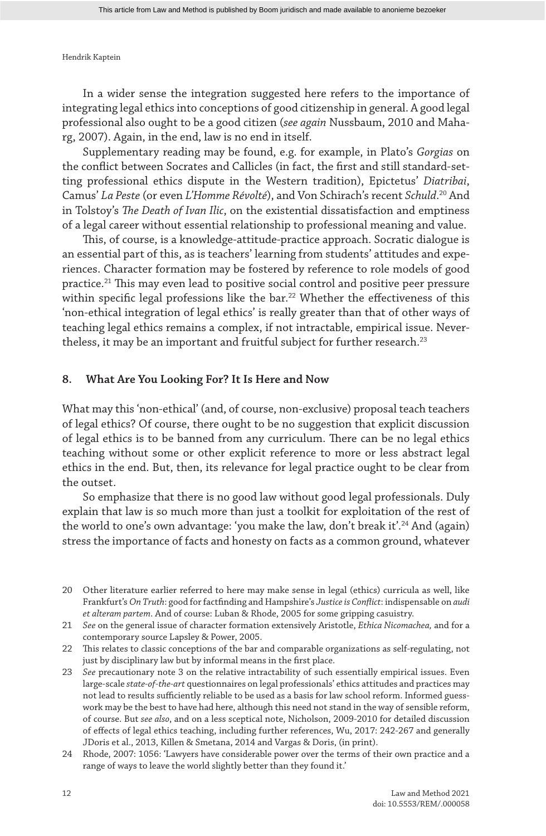In a wider sense the integration suggested here refers to the importance of integrating legal ethics into conceptions of good citizenship in general. A good legal professional also ought to be a good citizen (*see again* Nussbaum, 2010 and Maharg, 2007). Again, in the end, law is no end in itself.

Supplementary reading may be found, e.g. for example, in Plato's *Gorgias* on the conflict between Socrates and Callicles (in fact, the first and still standard-setting professional ethics dispute in the Western tradition), Epictetus' *Diatribai*, Camus' *La Peste* (or even *L'Homme Révolté*), and Von Schirach's recent *Schuld*. 20 And in Tolstoy's *The Death of Ivan Ilic*, on the existential dissatisfaction and emptiness of a legal career without essential relationship to professional meaning and value.

This, of course, is a knowledge-attitude-practice approach. Socratic dialogue is an essential part of this, as is teachers' learning from students' attitudes and experiences. Character formation may be fostered by reference to role models of good practice.21 This may even lead to positive social control and positive peer pressure within specific legal professions like the bar.<sup>22</sup> Whether the effectiveness of this 'non-ethical integration of legal ethics' is really greater than that of other ways of teaching legal ethics remains a complex, if not intractable, empirical issue. Nevertheless, it may be an important and fruitful subject for further research.<sup>23</sup>

#### **8. What Are You Looking For? It Is Here and Now**

What may this 'non-ethical' (and, of course, non-exclusive) proposal teach teachers of legal ethics? Of course, there ought to be no suggestion that explicit discussion of legal ethics is to be banned from any curriculum. There can be no legal ethics teaching without some or other explicit reference to more or less abstract legal ethics in the end. But, then, its relevance for legal practice ought to be clear from the outset.

So emphasize that there is no good law without good legal professionals. Duly explain that law is so much more than just a toolkit for exploitation of the rest of the world to one's own advantage: 'you make the law, don't break it'.24 And (again) stress the importance of facts and honesty on facts as a common ground, whatever

- 20 Other literature earlier referred to here may make sense in legal (ethics) curricula as well, like Frankfurt's *On Truth*: good for factfinding and Hampshire's *Justice is Conflict*: indispensable on *audi et alteram partem*. And of course: Luban & Rhode, 2005 for some gripping casuistry.
- 21 *See* on the general issue of character formation extensively Aristotle, *Ethica Nicomachea,* and for a contemporary source Lapsley & Power, 2005.

22 This relates to classic conceptions of the bar and comparable organizations as self-regulating, not just by disciplinary law but by informal means in the first place.

- 23 *See* precautionary note 3 on the relative intractability of such essentially empirical issues. Even large-scale *state-of-the-art* questionnaires on legal professionals' ethics attitudes and practices may not lead to results sufficiently reliable to be used as a basis for law school reform. Informed guesswork may be the best to have had here, although this need not stand in the way of sensible reform, of course. But *see also*, and on a less sceptical note, Nicholson, 2009-2010 for detailed discussion of effects of legal ethics teaching, including further references, Wu, 2017: 242-267 and generally JDoris et al., 2013, Killen & Smetana, 2014 and Vargas & Doris, (in print).
- 24 Rhode, 2007: 1056: 'Lawyers have considerable power over the terms of their own practice and a range of ways to leave the world slightly better than they found it.'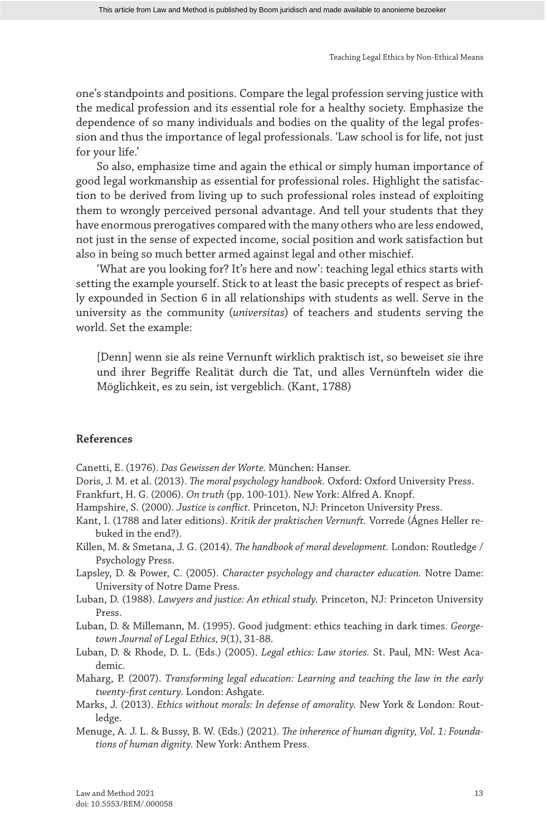one's standpoints and positions. Compare the legal profession serving justice with the medical profession and its essential role for a healthy society. Emphasize the dependence of so many individuals and bodies on the quality of the legal profession and thus the importance of legal professionals. 'Law school is for life, not just for your life.'

So also, emphasize time and again the ethical or simply human importance of good legal workmanship as essential for professional roles. Highlight the satisfaction to be derived from living up to such professional roles instead of exploiting them to wrongly perceived personal advantage. And tell your students that they have enormous prerogatives compared with the many others who are less endowed, not just in the sense of expected income, social position and work satisfaction but also in being so much better armed against legal and other mischief.

'What are you looking for? It's here and now': teaching legal ethics starts with setting the example yourself. Stick to at least the basic precepts of respect as briefly expounded in Section 6 in all relationships with students as well. Serve in the university as the community (*universitas*) of teachers and students serving the world. Set the example:

[Denn] wenn sie als reine Vernunft wirklich praktisch ist, so beweiset sie ihre und ihrer Begriffe Realität durch die Tat, und alles Vernünfteln wider die Möglichkeit, es zu sein, ist vergeblich. (Kant, 1788)

#### **References**

Canetti, E. (1976). *Das Gewissen der Worte.* München: Hanser.

- Doris, J. M. et al. (2013). *The moral psychology handbook.* Oxford: Oxford University Press.
- Frankfurt, H. G. (2006). *On truth* (pp. 100-101). New York: Alfred A. Knopf.
- Hampshire, S. (2000). *Justice is conflict.* Princeton, NJ: Princeton University Press.
- Kant, I. (1788 and later editions). *Kritik der praktischen Vernunft.* Vorrede (Ágnes Heller rebuked in the end?).
- Killen, M. & Smetana, J. G. (2014). *The handbook of moral development.* London: Routledge / Psychology Press.
- Lapsley, D. & Power, C. (2005). *Character psychology and character education.* Notre Dame: University of Notre Dame Press.
- Luban, D. (1988). *Lawyers and justice: An ethical study.* Princeton, NJ: Princeton University Press.
- Luban, D. & Millemann, M. (1995). Good judgment: ethics teaching in dark times. *Georgetown Journal of Legal Ethics, 9*(1), 31-88.
- Luban, D. & Rhode, D. L. (Eds.) (2005). *Legal ethics: Law stories.* St. Paul, MN: West Academic.
- Maharg, P. (2007). *Transforming legal education: Learning and teaching the law in the early twenty-first century.* London: Ashgate.
- Marks, J. (2013). *Ethics without morals: In defense of amorality.* New York & London: Routledge.
- Menuge, A. J. L. & Bussy, B. W. (Eds.) (2021). *The inherence of human dignity, Vol. 1: Foundations of human dignity.* New York: Anthem Press.